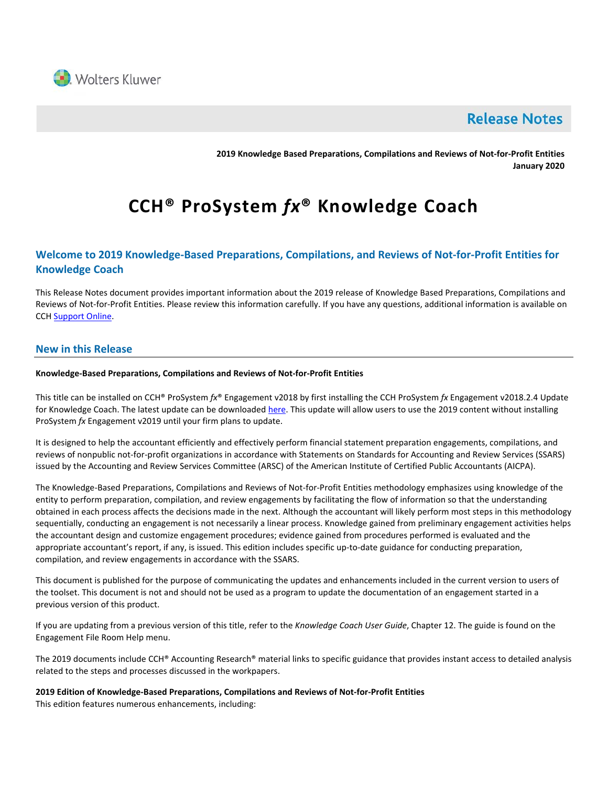

# **Release Notes**

**2019 Knowledge Based Preparations, Compilations and Reviews of Not-for-Profit Entities January 2020**

# **CCH® ProSystem** *fx***® Knowledge Coach**

# **Welcome to 2019 Knowledge-Based Preparations, Compilations, and Reviews of Not-for-Profit Entities for Knowledge Coach**

This Release Notes document provides important information about the 2019 release of Knowledge Based Preparations, Compilations and Reviews of Not-for-Profit Entities. Please review this information carefully. If you have any questions, additional information is available on CCH [Support Online.](http://support.cch.com/productsupport/)

# **New in this Release**

#### **Knowledge-Based Preparations, Compilations and Reviews of Not-for-Profit Entities**

This title can be installed on CCH® ProSystem *fx*® Engagement v2018 by first installing the CCH ProSystem *fx* Engagement v2018.2.4 Update for Knowledge Coach. The latest update can be downloaded [here.](https://support.cch.com/updates/Engagement/release2018/release2018.aspx) This update will allow users to use the 2019 content without installing ProSystem *fx* Engagement v2019 until your firm plans to update.

It is designed to help the accountant efficiently and effectively perform financial statement preparation engagements, compilations, and reviews of nonpublic not-for-profit organizations in accordance with Statements on Standards for Accounting and Review Services (SSARS) issued by the Accounting and Review Services Committee (ARSC) of the American Institute of Certified Public Accountants (AICPA).

The Knowledge-Based Preparations, Compilations and Reviews of Not-for-Profit Entities methodology emphasizes using knowledge of the entity to perform preparation, compilation, and review engagements by facilitating the flow of information so that the understanding obtained in each process affects the decisions made in the next. Although the accountant will likely perform most steps in this methodology sequentially, conducting an engagement is not necessarily a linear process. Knowledge gained from preliminary engagement activities helps the accountant design and customize engagement procedures; evidence gained from procedures performed is evaluated and the appropriate accountant's report, if any, is issued. This edition includes specific up-to-date guidance for conducting preparation, compilation, and review engagements in accordance with the SSARS.

This document is published for the purpose of communicating the updates and enhancements included in the current version to users of the toolset. This document is not and should not be used as a program to update the documentation of an engagement started in a previous version of this product.

If you are updating from a previous version of this title, refer to the *Knowledge Coach User Guide*, Chapter 12. The guide is found on the Engagement File Room Help menu.

The 2019 documents include CCH® Accounting Research® material links to specific guidance that provides instant access to detailed analysis related to the steps and processes discussed in the workpapers.

**2019 Edition of Knowledge-Based Preparations, Compilations and Reviews of Not-for-Profit Entities** This edition features numerous enhancements, including: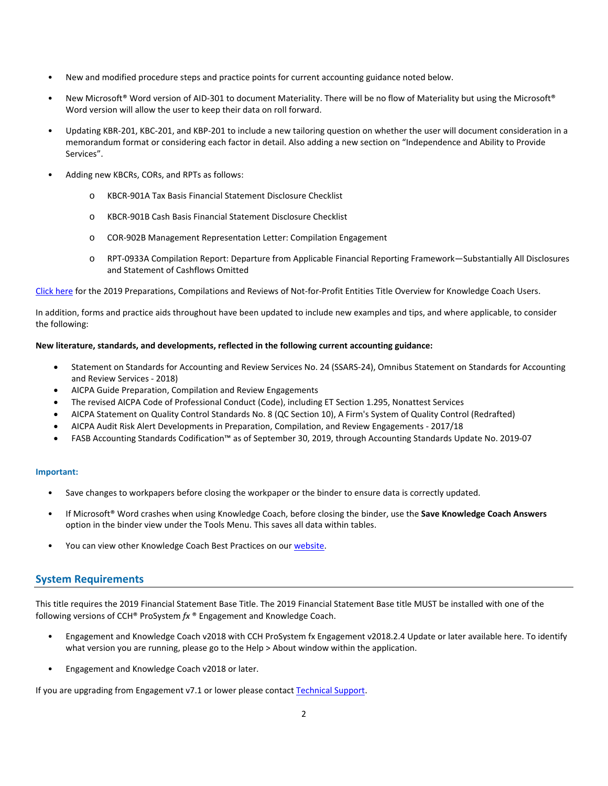- New and modified procedure steps and practice points for current accounting guidance noted below.
- New Microsoft® Word version of AID-301 to document Materiality. There will be no flow of Materiality but using the Microsoft® Word version will allow the user to keep their data on roll forward.
- Updating KBR-201, KBC-201, and KBP-201 to include a new tailoring question on whether the user will document consideration in a memorandum format or considering each factor in detail. Also adding a new section on "Independence and Ability to Provide Services".
- Adding new KBCRs, CORs, and RPTs as follows:
	- o KBCR-901A Tax Basis Financial Statement Disclosure Checklist
	- o KBCR-901B Cash Basis Financial Statement Disclosure Checklist
	- o COR-902B Management Representation Letter: Compilation Engagement
	- o RPT-0933A Compilation Report: Departure from Applicable Financial Reporting Framework—Substantially All Disclosures and Statement of Cashflows Omitted

[Click here](http://support.cch.com/updates/KnowledgeCoach/pdf/guides_tab/2019%20Not-For-Profit%20Entities%20PCR%20Title%20Overview%20for%20Knowledge%20Coach%20Users.pdf) for the 2019 Preparations, Compilations and Reviews of Not-for-Profit Entities Title Overview for Knowledge Coach Users.

In addition, forms and practice aids throughout have been updated to include new examples and tips, and where applicable, to consider the following:

#### **New literature, standards, and developments, reflected in the following current accounting guidance:**

- Statement on Standards for Accounting and Review Services No. 24 (SSARS-24), Omnibus Statement on Standards for Accounting and Review Services - 2018)
- AICPA Guide Preparation, Compilation and Review Engagements
- The revised AICPA Code of Professional Conduct (Code), including ET Section 1.295, Nonattest Services
- AICPA Statement on Quality Control Standards No. 8 (QC Section 10), A Firm's System of Quality Control (Redrafted)
- AICPA Audit Risk Alert Developments in Preparation, Compilation, and Review Engagements 2017/18
- FASB Accounting Standards Codification™ as of September 30, 2019, through Accounting Standards Update No. 2019-07

#### **Important:**

- Save changes to workpapers before closing the workpaper or the binder to ensure data is correctly updated.
- If Microsoft® Word crashes when using Knowledge Coach, before closing the binder, use the **Save Knowledge Coach Answers** option in the binder view under the Tools Menu. This saves all data within tables.
- You can view other Knowledge Coach Best Practices on ou[r website.](https://support.cch.com/kb/solution/000034942/sw34947)

# **System Requirements**

This title requires the 2019 Financial Statement Base Title. The 2019 Financial Statement Base title MUST be installed with one of the following versions of CCH® ProSystem *fx* ® Engagement and Knowledge Coach.

- Engagement and Knowledge Coach v2018 with CCH ProSystem fx Engagement v2018.2.4 Update or later available [here.](https://support.cch.com/updates/Engagement/release2018/release2018.aspx) To identify what version you are running, please go to the Help > About window within the application.
- Engagement and Knowledge Coach v2018 or later.

If you are upgrading from Engagement v7.1 or lower please contac[t Technical Support.](https://support.cch.com/contact)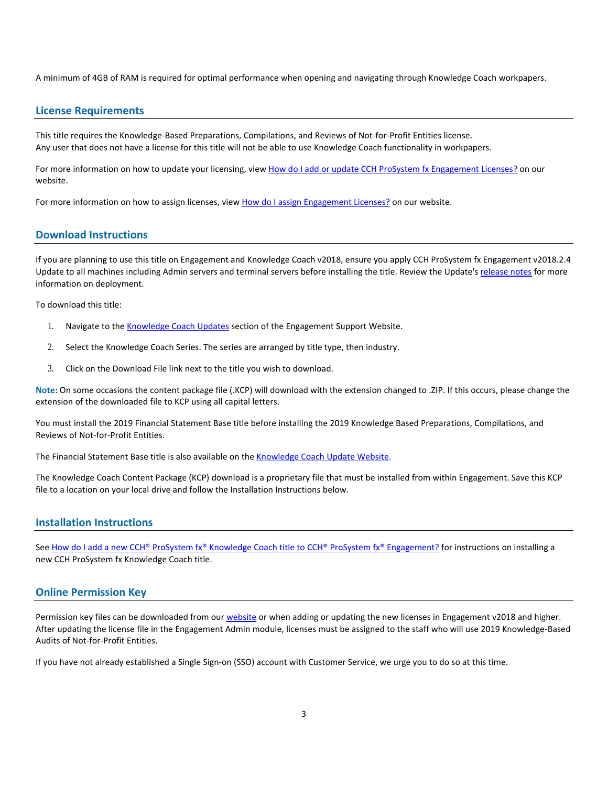A minimum of 4GB of RAM is required for optimal performance when opening and navigating through Knowledge Coach workpapers.

#### **License Requirements**

This title requires the Knowledge-Based Preparations, Compilations, and Reviews of Not-for-Profit Entities license. Any user that does not have a license for this title will not be able to use Knowledge Coach functionality in workpapers.

For more information on how to update your licensing, vie[w How do I add or update CCH ProSystem fx Engagement Licenses?](https://support.cch.com/kb/solution.aspx/sw3937) on our website.

For more information on how to assign licenses, view [How do I assign Engagement Licenses?](https://support.cch.com/kb/solution.aspx/sw3943) on our website.

#### **Download Instructions**

If you are planning to use this title on Engagement and Knowledge Coach v2018, ensure you apply CCH ProSystem fx Engagement v2018.2.4 Update to all machines including Admin servers and terminal servers before installing the title. Review the Update's [release notes](https://d2iceilwdglxpz.cloudfront.net/release_notes/CCH%20ProSystem%20fx%20Engagement%202018.2.4%20Release%20Notes.pdf) for more information on deployment.

To download this title:

- 1. Navigate to the [Knowledge Coach Updates](http://support.cch.com/updates/KnowledgeCoach) section of the Engagement Support Website.
- 2. Select the Knowledge Coach Series. The series are arranged by title type, then industry.
- 3. Click on the Download File link next to the title you wish to download.

**Note**: On some occasions the content package file (.KCP) will download with the extension changed to .ZIP. If this occurs, please change the extension of the downloaded file to KCP using all capital letters.

You must install the 2019 Financial Statement Base title before installing the 2019 Knowledge Based Preparations, Compilations, and Reviews of Not-for-Profit Entities.

The Financial Statement Base title is also available on th[e Knowledge Coach Update Website.](http://support.cch.com/updates/KnowledgeCoach)

The Knowledge Coach Content Package (KCP) download is a proprietary file that must be installed from within Engagement. Save this KCP file to a location on your local drive and follow the Installation Instructions below.

#### **Installation Instructions**

See [How do I add a new CCH® ProSystem fx® Knowledge Coach title to CCH® ProSystem fx® Engagement?](https://support.cch.com/kb/solution/000033707/sw30271) for instructions on installing a new CCH ProSystem fx Knowledge Coach title.

#### **Online Permission Key**

Permission key files can be downloaded from our [website](https://prosystemfxsupport.tax.cchgroup.com/permkey/download.aspx) or when adding or updating the new licenses in Engagement v2018 and higher. After updating the license file in the Engagement Admin module, licenses must be assigned to the staff who will use 2019 Knowledge-Based Audits of Not-for-Profit Entities.

If you have not already established a Single Sign-on (SSO) account with Customer Service, we urge you to do so at this time.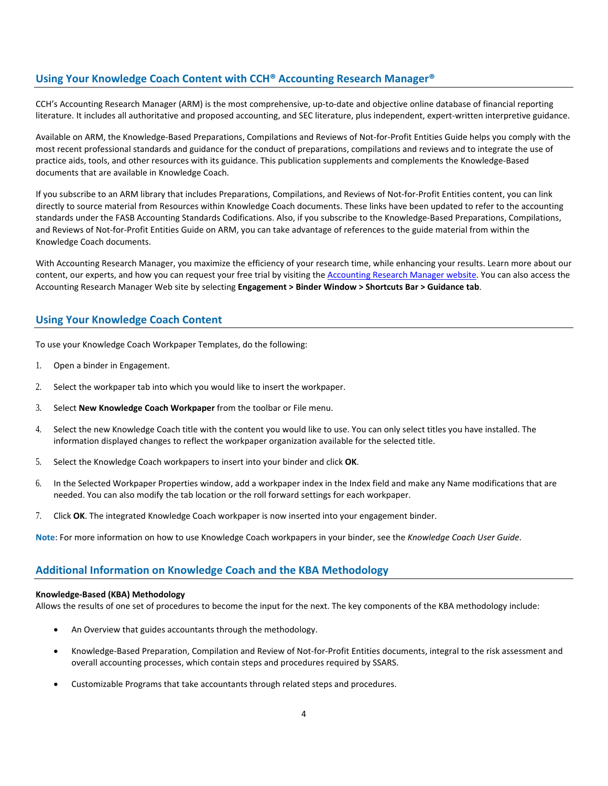# **Using Your Knowledge Coach Content with CCH® Accounting Research Manager®**

CCH's Accounting Research Manager (ARM) is the most comprehensive, up-to-date and objective online database of financial reporting literature. It includes all authoritative and proposed accounting, and SEC literature, plus independent, expert-written interpretive guidance.

Available on ARM, the Knowledge-Based Preparations, Compilations and Reviews of Not-for-Profit Entities Guide helps you comply with the most recent professional standards and guidance for the conduct of preparations, compilations and reviews and to integrate the use of practice aids, tools, and other resources with its guidance. This publication supplements and complements the Knowledge-Based documents that are available in Knowledge Coach.

If you subscribe to an ARM library that includes Preparations, Compilations, and Reviews of Not-for-Profit Entities content, you can link directly to source material from Resources within Knowledge Coach documents. These links have been updated to refer to the accounting standards under the FASB Accounting Standards Codifications. Also, if you subscribe to the Knowledge-Based Preparations, Compilations, and Reviews of Not-for-Profit Entities Guide on ARM, you can take advantage of references to the guide material from within the Knowledge Coach documents.

With Accounting Research Manager, you maximize the efficiency of your research time, while enhancing your results. Learn more about our content, our experts, and how you can request your free trial by visiting the [Accounting Research Manager website.](http://www.accountingresearchmanager.com/) You can also access the Accounting Research Manager Web site by selecting **Engagement > Binder Window > Shortcuts Bar > Guidance tab**.

# **Using Your Knowledge Coach Content**

To use your Knowledge Coach Workpaper Templates, do the following:

- 1. Open a binder in Engagement.
- 2. Select the workpaper tab into which you would like to insert the workpaper.
- 3. Select **New Knowledge Coach Workpaper** from the toolbar or File menu.
- 4. Select the new Knowledge Coach title with the content you would like to use. You can only select titles you have installed. The information displayed changes to reflect the workpaper organization available for the selected title.
- 5. Select the Knowledge Coach workpapers to insert into your binder and click **OK**.
- 6. In the Selected Workpaper Properties window, add a workpaper index in the Index field and make any Name modifications that are needed. You can also modify the tab location or the roll forward settings for each workpaper.
- 7. Click **OK**. The integrated Knowledge Coach workpaper is now inserted into your engagement binder.

**Note**: For more information on how to use Knowledge Coach workpapers in your binder, see the *Knowledge Coach User Guide*.

# **Additional Information on Knowledge Coach and the KBA Methodology**

#### **Knowledge-Based (KBA) Methodology**

Allows the results of one set of procedures to become the input for the next. The key components of the KBA methodology include:

- An Overview that guides accountants through the methodology.
- Knowledge-Based Preparation, Compilation and Review of Not-for-Profit Entities documents, integral to the risk assessment and overall accounting processes, which contain steps and procedures required by SSARS.
- Customizable Programs that take accountants through related steps and procedures.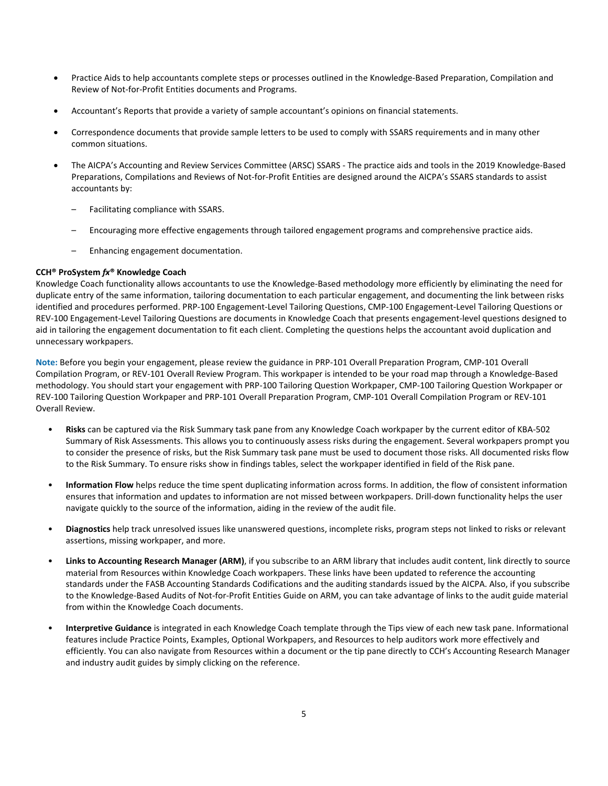- Practice Aids to help accountants complete steps or processes outlined in the Knowledge-Based Preparation, Compilation and Review of Not-for-Profit Entities documents and Programs.
- Accountant's Reports that provide a variety of sample accountant's opinions on financial statements.
- Correspondence documents that provide sample letters to be used to comply with SSARS requirements and in many other common situations.
- The AICPA's Accounting and Review Services Committee (ARSC) SSARS The practice aids and tools in the 2019 Knowledge-Based Preparations, Compilations and Reviews of Not-for-Profit Entities are designed around the AICPA's SSARS standards to assist accountants by:
	- Facilitating compliance with SSARS.
	- Encouraging more effective engagements through tailored engagement programs and comprehensive practice aids.
	- Enhancing engagement documentation.

#### **CCH® ProSystem** *fx***® Knowledge Coach**

Knowledge Coach functionality allows accountants to use the Knowledge-Based methodology more efficiently by eliminating the need for duplicate entry of the same information, tailoring documentation to each particular engagement, and documenting the link between risks identified and procedures performed. PRP-100 Engagement-Level Tailoring Questions, CMP-100 Engagement-Level Tailoring Questions or REV-100 Engagement-Level Tailoring Questions are documents in Knowledge Coach that presents engagement-level questions designed to aid in tailoring the engagement documentation to fit each client. Completing the questions helps the accountant avoid duplication and unnecessary workpapers.

**Note:** Before you begin your engagement, please review the guidance in PRP-101 Overall Preparation Program, CMP-101 Overall Compilation Program, or REV-101 Overall Review Program. This workpaper is intended to be your road map through a Knowledge-Based methodology. You should start your engagement with PRP-100 Tailoring Question Workpaper, CMP-100 Tailoring Question Workpaper or REV-100 Tailoring Question Workpaper and PRP-101 Overall Preparation Program, CMP-101 Overall Compilation Program or REV-101 Overall Review.

- **Risks** can be captured via the Risk Summary task pane from any Knowledge Coach workpaper by the current editor of KBA-502 Summary of Risk Assessments. This allows you to continuously assess risks during the engagement. Several workpapers prompt you to consider the presence of risks, but the Risk Summary task pane must be used to document those risks. All documented risks flow to the Risk Summary. To ensure risks show in findings tables, select the workpaper identified in field of the Risk pane.
- **Information Flow** helps reduce the time spent duplicating information across forms. In addition, the flow of consistent information ensures that information and updates to information are not missed between workpapers. Drill-down functionality helps the user navigate quickly to the source of the information, aiding in the review of the audit file.
- **Diagnostics** help track unresolved issues like unanswered questions, incomplete risks, program steps not linked to risks or relevant assertions, missing workpaper, and more.
- **Links to Accounting Research Manager (ARM)**, if you subscribe to an ARM library that includes audit content, link directly to source material from Resources within Knowledge Coach workpapers. These links have been updated to reference the accounting standards under the FASB Accounting Standards Codifications and the auditing standards issued by the AICPA. Also, if you subscribe to the Knowledge-Based Audits of Not-for-Profit Entities Guide on ARM, you can take advantage of links to the audit guide material from within the Knowledge Coach documents.
- **Interpretive Guidance** is integrated in each Knowledge Coach template through the Tips view of each new task pane. Informational features include Practice Points, Examples, Optional Workpapers, and Resources to help auditors work more effectively and efficiently. You can also navigate from Resources within a document or the tip pane directly to CCH's Accounting Research Manager and industry audit guides by simply clicking on the reference.